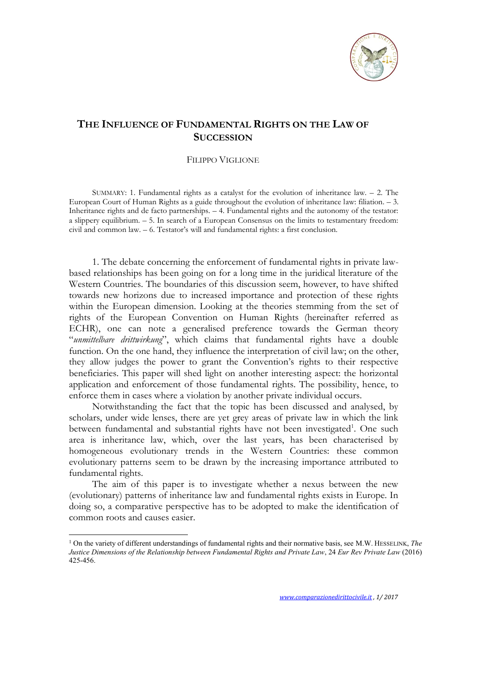

## **THE INFLUENCE OF FUNDAMENTAL RIGHTS ON THE LAW OF SUCCESSION**

## FILIPPO VIGLIONE

SUMMARY: 1. Fundamental rights as a catalyst for the evolution of inheritance law. – 2. The European Court of Human Rights as a guide throughout the evolution of inheritance law: filiation. – 3. Inheritance rights and de facto partnerships. – 4. Fundamental rights and the autonomy of the testator: a slippery equilibrium. – 5. In search of a European Consensus on the limits to testamentary freedom: civil and common law. – 6. Testator's will and fundamental rights: a first conclusion.

1. The debate concerning the enforcement of fundamental rights in private lawbased relationships has been going on for a long time in the juridical literature of the Western Countries. The boundaries of this discussion seem, however, to have shifted towards new horizons due to increased importance and protection of these rights within the European dimension. Looking at the theories stemming from the set of rights of the European Convention on Human Rights (hereinafter referred as ECHR), one can note a generalised preference towards the German theory "*unmittelbare drittwirkung*", which claims that fundamental rights have a double function. On the one hand, they influence the interpretation of civil law; on the other, they allow judges the power to grant the Convention's rights to their respective beneficiaries. This paper will shed light on another interesting aspect: the horizontal application and enforcement of those fundamental rights. The possibility, hence, to enforce them in cases where a violation by another private individual occurs.

Notwithstanding the fact that the topic has been discussed and analysed, by scholars, under wide lenses, there are yet grey areas of private law in which the link between fundamental and substantial rights have not been investigated<sup>1</sup>. One such area is inheritance law, which, over the last years, has been characterised by homogeneous evolutionary trends in the Western Countries: these common evolutionary patterns seem to be drawn by the increasing importance attributed to fundamental rights.

The aim of this paper is to investigate whether a nexus between the new (evolutionary) patterns of inheritance law and fundamental rights exists in Europe. In doing so, a comparative perspective has to be adopted to make the identification of common roots and causes easier.

<sup>1</sup> On the variety of different understandings of fundamental rights and their normative basis, see M.W. HESSELINK, *The Justice Dimensions of the Relationship between Fundamental Rights and Private Law*, 24 *Eur Rev Private Law* (2016) 425-456.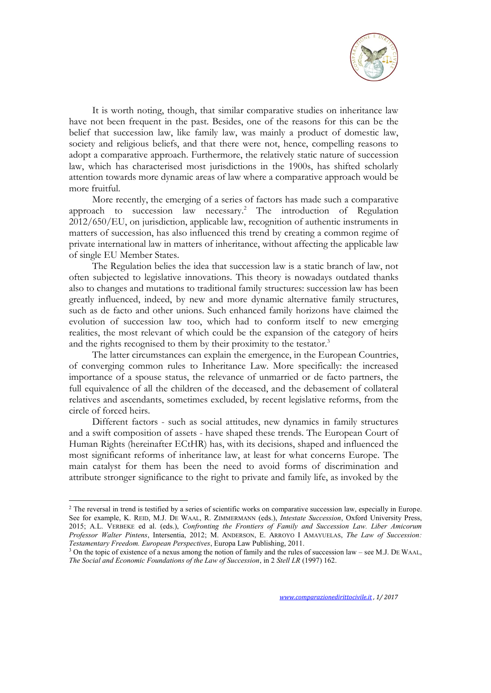

It is worth noting, though, that similar comparative studies on inheritance law have not been frequent in the past. Besides, one of the reasons for this can be the belief that succession law, like family law, was mainly a product of domestic law, society and religious beliefs, and that there were not, hence, compelling reasons to adopt a comparative approach. Furthermore, the relatively static nature of succession law, which has characterised most jurisdictions in the 1900s, has shifted scholarly attention towards more dynamic areas of law where a comparative approach would be more fruitful.

More recently, the emerging of a series of factors has made such a comparative approach to succession law necessary.<sup>2</sup> The introduction of Regulation 2012/650/EU, on jurisdiction, applicable law, recognition of authentic instruments in matters of succession, has also influenced this trend by creating a common regime of private international law in matters of inheritance, without affecting the applicable law of single EU Member States.

The Regulation belies the idea that succession law is a static branch of law, not often subjected to legislative innovations. This theory is nowadays outdated thanks also to changes and mutations to traditional family structures: succession law has been greatly influenced, indeed, by new and more dynamic alternative family structures, such as de facto and other unions. Such enhanced family horizons have claimed the evolution of succession law too, which had to conform itself to new emerging realities, the most relevant of which could be the expansion of the category of heirs and the rights recognised to them by their proximity to the testator.<sup>3</sup>

The latter circumstances can explain the emergence, in the European Countries, of converging common rules to Inheritance Law. More specifically: the increased importance of a spouse status, the relevance of unmarried or de facto partners, the full equivalence of all the children of the deceased, and the debasement of collateral relatives and ascendants, sometimes excluded, by recent legislative reforms, from the circle of forced heirs.

Different factors - such as social attitudes, new dynamics in family structures and a swift composition of assets - have shaped these trends. The European Court of Human Rights (hereinafter ECtHR) has, with its decisions, shaped and influenced the most significant reforms of inheritance law, at least for what concerns Europe. The main catalyst for them has been the need to avoid forms of discrimination and attribute stronger significance to the right to private and family life, as invoked by the

<sup>&</sup>lt;sup>2</sup> The reversal in trend is testified by a series of scientific works on comparative succession law, especially in Europe. See for example, K. REID, M.J. DE WAAL, R. ZIMMERMANN (eds.), *Intestate Succession*, Oxford University Press, 2015; A.L. VERBEKE ed al. (eds.), *Confronting the Frontiers of Family and Succession Law. Liber Amicorum Professor Walter Pintens*, Intersentia, 2012; M. ANDERSON, E. ARROYO I AMAYUELAS, *The Law of Succession: Testamentary Freedom. European Perspectives*, Europa Law Publishing, 2011.

<sup>&</sup>lt;sup>3</sup> On the topic of existence of a nexus among the notion of family and the rules of succession law – see M.J. DE WAAL, *The Social and Economic Foundations of the Law of Succession*, in 2 *Stell LR* (1997) 162.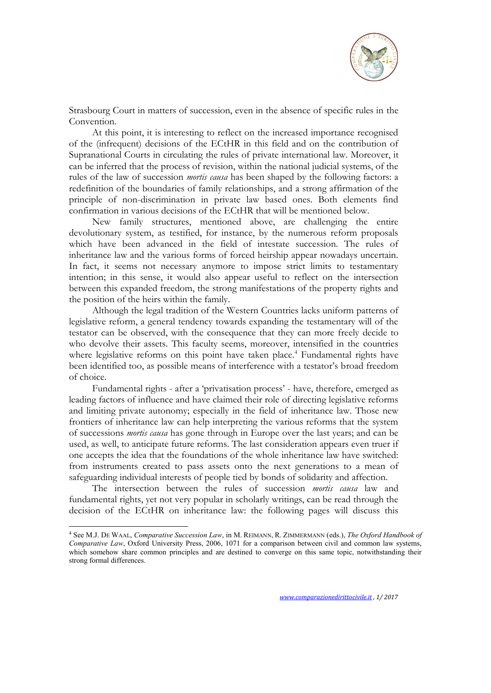

Strasbourg Court in matters of succession, even in the absence of specific rules in the Convention.

At this point, it is interesting to reflect on the increased importance recognised of the (infrequent) decisions of the ECtHR in this field and on the contribution of Supranational Courts in circulating the rules of private international law. Moreover, it can be inferred that the process of revision, within the national judicial systems, of the rules of the law of succession *mortis causa* has been shaped by the following factors: a redefinition of the boundaries of family relationships, and a strong affirmation of the principle of non-discrimination in private law based ones. Both elements find confirmation in various decisions of the ECtHR that will be mentioned below.

New family structures, mentioned above, are challenging the entire devolutionary system, as testified, for instance, by the numerous reform proposals which have been advanced in the field of intestate succession. The rules of inheritance law and the various forms of forced heirship appear nowadays uncertain. In fact, it seems not necessary anymore to impose strict limits to testamentary intention; in this sense, it would also appear useful to reflect on the intersection between this expanded freedom, the strong manifestations of the property rights and the position of the heirs within the family.

Although the legal tradition of the Western Countries lacks uniform patterns of legislative reform, a general tendency towards expanding the testamentary will of the testator can be observed, with the consequence that they can more freely decide to who devolve their assets. This faculty seems, moreover, intensified in the countries where legislative reforms on this point have taken place.<sup>4</sup> Fundamental rights have been identified too, as possible means of interference with a testator's broad freedom of choice.

Fundamental rights - after a 'privatisation process' - have, therefore, emerged as leading factors of influence and have claimed their role of directing legislative reforms and limiting private autonomy; especially in the field of inheritance law. Those new frontiers of inheritance law can help interpreting the various reforms that the system of successions *mortis causa* has gone through in Europe over the last years; and can be used, as well, to anticipate future reforms. The last consideration appears even truer if one accepts the idea that the foundations of the whole inheritance law have switched: from instruments created to pass assets onto the next generations to a mean of safeguarding individual interests of people tied by bonds of solidarity and affection.

The intersection between the rules of succession *mortis causa* law and fundamental rights, yet not very popular in scholarly writings, can be read through the decision of the ECtHR on inheritance law: the following pages will discuss this

<sup>4</sup> See M.J. DE WAAL, *Comparative Succession Law*, in M. REIMANN, R. ZIMMERMANN (eds.), *The Oxford Handbook of Comparative Law*, Oxford University Press, 2006, 1071 for a comparison between civil and common law systems, which somehow share common principles and are destined to converge on this same topic, notwithstanding their strong formal differences.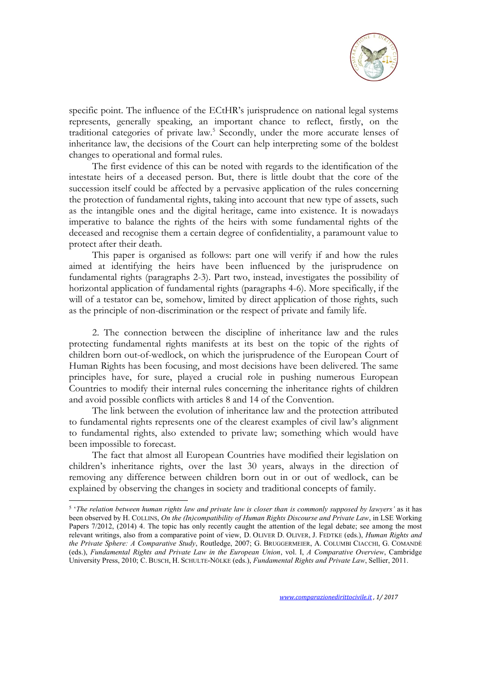

specific point. The influence of the ECtHR's jurisprudence on national legal systems represents, generally speaking, an important chance to reflect, firstly, on the traditional categories of private law.<sup>5</sup> Secondly, under the more accurate lenses of inheritance law, the decisions of the Court can help interpreting some of the boldest changes to operational and formal rules.

The first evidence of this can be noted with regards to the identification of the intestate heirs of a deceased person. But, there is little doubt that the core of the succession itself could be affected by a pervasive application of the rules concerning the protection of fundamental rights, taking into account that new type of assets, such as the intangible ones and the digital heritage, came into existence. It is nowadays imperative to balance the rights of the heirs with some fundamental rights of the deceased and recognise them a certain degree of confidentiality, a paramount value to protect after their death.

This paper is organised as follows: part one will verify if and how the rules aimed at identifying the heirs have been influenced by the jurisprudence on fundamental rights (paragraphs 2-3). Part two, instead, investigates the possibility of horizontal application of fundamental rights (paragraphs 4-6). More specifically, if the will of a testator can be, somehow, limited by direct application of those rights, such as the principle of non-discrimination or the respect of private and family life.

2. The connection between the discipline of inheritance law and the rules protecting fundamental rights manifests at its best on the topic of the rights of children born out-of-wedlock, on which the jurisprudence of the European Court of Human Rights has been focusing, and most decisions have been delivered. The same principles have, for sure, played a crucial role in pushing numerous European Countries to modify their internal rules concerning the inheritance rights of children and avoid possible conflicts with articles 8 and 14 of the Convention.

The link between the evolution of inheritance law and the protection attributed to fundamental rights represents one of the clearest examples of civil law's alignment to fundamental rights, also extended to private law; something which would have been impossible to forecast.

The fact that almost all European Countries have modified their legislation on children's inheritance rights, over the last 30 years, always in the direction of removing any difference between children born out in or out of wedlock, can be explained by observing the changes in society and traditional concepts of family.

<sup>5</sup> '*The relation between human rights law and private law is closer than is commonly supposed by lawyers'* as it has been observed by H. COLLINS, *On the (In)compatibility of Human Rights Discourse and Private Law*, in LSE Working Papers 7/2012, (2014) 4. The topic has only recently caught the attention of the legal debate; see among the most relevant writings, also from a comparative point of view, D. OLIVER D. OLIVER, J. FEDTKE (eds.), *Human Rights and the Private Sphere: A Comparative Study*, Routledge, 2007; G. BRUGGERMEIER, A. COLUMBI CIACCHI, G. COMANDÈ (eds.), *Fundamental Rights and Private Law in the European Union*, vol. I, *A Comparative Overview*, Cambridge University Press, 2010; C. BUSCH, H. SCHULTE-NÖLKE (eds.), *Fundamental Rights and Private Law*, Sellier, 2011.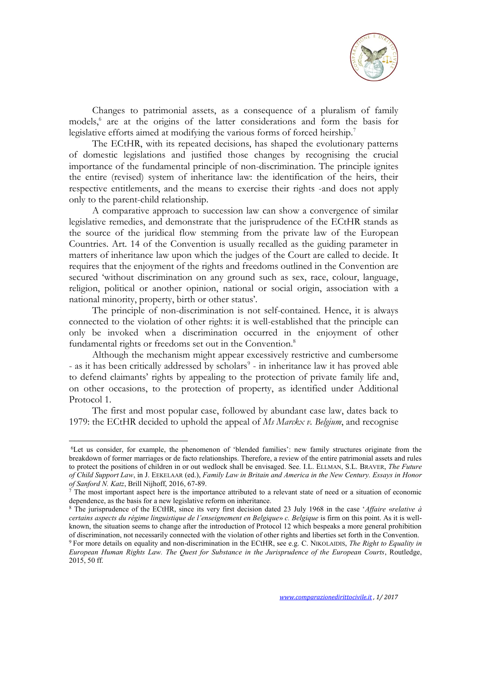

Changes to patrimonial assets, as a consequence of a pluralism of family models,<sup>6</sup> are at the origins of the latter considerations and form the basis for legislative efforts aimed at modifying the various forms of forced heirship.<sup>7</sup>

The ECtHR, with its repeated decisions, has shaped the evolutionary patterns of domestic legislations and justified those changes by recognising the crucial importance of the fundamental principle of non-discrimination. The principle ignites the entire (revised) system of inheritance law: the identification of the heirs, their respective entitlements, and the means to exercise their rights -and does not apply only to the parent-child relationship.

A comparative approach to succession law can show a convergence of similar legislative remedies, and demonstrate that the jurisprudence of the ECtHR stands as the source of the juridical flow stemming from the private law of the European Countries. Art. 14 of the Convention is usually recalled as the guiding parameter in matters of inheritance law upon which the judges of the Court are called to decide. It requires that the enjoyment of the rights and freedoms outlined in the Convention are secured 'without discrimination on any ground such as sex, race, colour, language, religion, political or another opinion, national or social origin, association with a national minority, property, birth or other status'.

The principle of non-discrimination is not self-contained. Hence, it is always connected to the violation of other rights: it is well-established that the principle can only be invoked when a discrimination occurred in the enjoyment of other fundamental rights or freedoms set out in the Convention.<sup>8</sup>

Although the mechanism might appear excessively restrictive and cumbersome - as it has been critically addressed by scholars<sup>9</sup> - in inheritance law it has proved able to defend claimants' rights by appealing to the protection of private family life and, on other occasions, to the protection of property, as identified under Additional Protocol 1.

The first and most popular case, followed by abundant case law, dates back to 1979: the ECtHR decided to uphold the appeal of *Ms Marckx v. Belgium*, and recognise

<sup>6</sup>Let us consider, for example, the phenomenon of 'blended families': new family structures originate from the breakdown of former marriages or de facto relationships. Therefore, a review of the entire patrimonial assets and rules to protect the positions of children in or out wedlock shall be envisaged. See. I.L. ELLMAN, S.L. BRAVER, *The Future of Child Support Law*, in J. EEKELAAR (ed.), *Family Law in Britain and America in the New Century. Essays in Honor of Sanford N. Katz*, Brill Nijhoff, 2016, 67-89.

 $\overline{7}$  The most important aspect here is the importance attributed to a relevant state of need or a situation of economic dependence, as the basis for a new legislative reform on inheritance.

<sup>8</sup> The jurisprudence of the ECtHR, since its very first decision dated 23 July 1968 in the case '*Affaire* «*relative à certains aspects du régime linguistique de l'enseignement en Belgique*» *c. Belgique* is firm on this point. As it is wellknown, the situation seems to change after the introduction of Protocol 12 which bespeaks a more general prohibition of discrimination, not necessarily connected with the violation of other rights and liberties set forth in the Convention. <sup>9</sup> For more details on equality and non-discrimination in the ECtHR, see e.g. C. NIKOLAIDIS, *The Right to Equality in European Human Rights Law. The Quest for Substance in the Jurisprudence of the European Courts*, Routledge, 2015, 50 ff.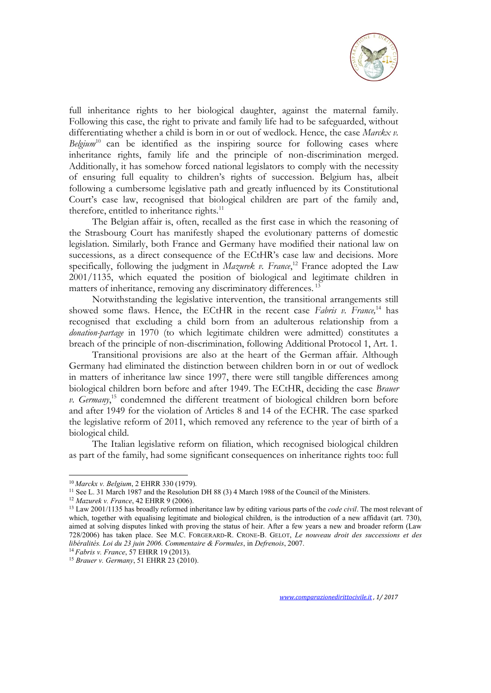

full inheritance rights to her biological daughter, against the maternal family. Following this case, the right to private and family life had to be safeguarded, without differentiating whether a child is born in or out of wedlock. Hence, the case *Marckx v. Belgium*<sup>10</sup> can be identified as the inspiring source for following cases where inheritance rights, family life and the principle of non-discrimination merged. Additionally, it has somehow forced national legislators to comply with the necessity of ensuring full equality to children's rights of succession. Belgium has, albeit following a cumbersome legislative path and greatly influenced by its Constitutional Court's case law, recognised that biological children are part of the family and, therefore, entitled to inheritance rights.<sup>11</sup>

The Belgian affair is, often, recalled as the first case in which the reasoning of the Strasbourg Court has manifestly shaped the evolutionary patterns of domestic legislation. Similarly, both France and Germany have modified their national law on successions, as a direct consequence of the ECtHR's case law and decisions. More specifically, following the judgment in *Mazurek v. France*, <sup>12</sup> France adopted the Law 2001/1135, which equated the position of biological and legitimate children in matters of inheritance, removing any discriminatory differences.<sup>13</sup>

Notwithstanding the legislative intervention, the transitional arrangements still showed some flaws. Hence, the ECtHR in the recent case *Fabris v. France,*<sup>14</sup> has recognised that excluding a child born from an adulterous relationship from a *donation-partage* in 1970 (to which legitimate children were admitted) constitutes a breach of the principle of non-discrimination, following Additional Protocol 1, Art. 1.

Transitional provisions are also at the heart of the German affair. Although Germany had eliminated the distinction between children born in or out of wedlock in matters of inheritance law since 1997, there were still tangible differences among biological children born before and after 1949. The ECtHR, deciding the case *Brauer v. Germany*, <sup>15</sup> condemned the different treatment of biological children born before and after 1949 for the violation of Articles 8 and 14 of the ECHR. The case sparked the legislative reform of 2011, which removed any reference to the year of birth of a biological child.

The Italian legislative reform on filiation, which recognised biological children as part of the family, had some significant consequences on inheritance rights too: full

<sup>10</sup> *Marckx v. Belgium*, 2 EHRR 330 (1979).

<sup>&</sup>lt;sup>11</sup> See L. 31 March 1987 and the Resolution DH 88 (3) 4 March 1988 of the Council of the Ministers.

<sup>12</sup> *Mazurek v. France*, 42 EHRR 9 (2006).

<sup>13</sup> Law 2001/1135 has broadly reformed inheritance law by editing various parts of the *code civil*. The most relevant of which, together with equalising legitimate and biological children, is the introduction of a new affidavit (art. 730), aimed at solving disputes linked with proving the status of heir. After a few years a new and broader reform (Law 728/2006) has taken place. See M.C. FORGERARD-R. CRONE-B. GELOT, *Le nouveau droit des successions et des libéralités. Loi du 23 juin 2006. Commentaire & Formules*, in *Defrenois*, 2007.

<sup>14</sup> *Fabris v. France*, 57 EHRR 19 (2013).

<sup>15</sup> *Brauer v. Germany*, 51 EHRR 23 (2010).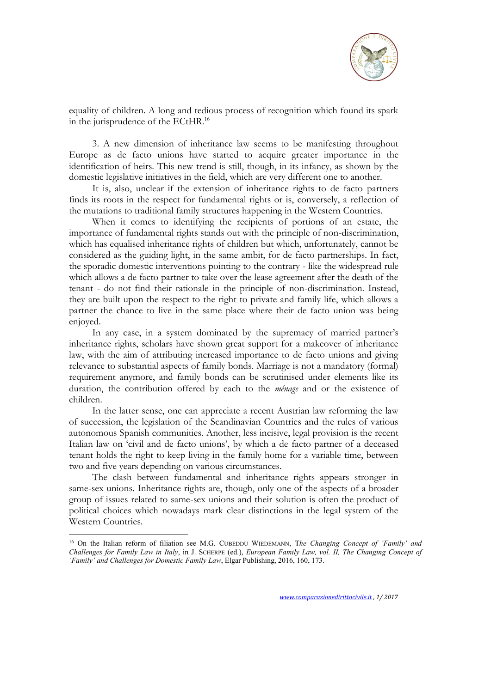

equality of children. A long and tedious process of recognition which found its spark in the jurisprudence of the ECtHR.<sup>16</sup>

3. A new dimension of inheritance law seems to be manifesting throughout Europe as de facto unions have started to acquire greater importance in the identification of heirs. This new trend is still, though, in its infancy, as shown by the domestic legislative initiatives in the field, which are very different one to another.

It is, also, unclear if the extension of inheritance rights to de facto partners finds its roots in the respect for fundamental rights or is, conversely, a reflection of the mutations to traditional family structures happening in the Western Countries.

When it comes to identifying the recipients of portions of an estate, the importance of fundamental rights stands out with the principle of non-discrimination, which has equalised inheritance rights of children but which, unfortunately, cannot be considered as the guiding light, in the same ambit, for de facto partnerships. In fact, the sporadic domestic interventions pointing to the contrary - like the widespread rule which allows a de facto partner to take over the lease agreement after the death of the tenant - do not find their rationale in the principle of non-discrimination. Instead, they are built upon the respect to the right to private and family life, which allows a partner the chance to live in the same place where their de facto union was being enjoyed.

In any case, in a system dominated by the supremacy of married partner's inheritance rights, scholars have shown great support for a makeover of inheritance law, with the aim of attributing increased importance to de facto unions and giving relevance to substantial aspects of family bonds. Marriage is not a mandatory (formal) requirement anymore, and family bonds can be scrutinised under elements like its duration, the contribution offered by each to the *ménage* and or the existence of children.

In the latter sense, one can appreciate a recent Austrian law reforming the law of succession, the legislation of the Scandinavian Countries and the rules of various autonomous Spanish communities. Another, less incisive, legal provision is the recent Italian law on 'civil and de facto unions', by which a de facto partner of a deceased tenant holds the right to keep living in the family home for a variable time, between two and five years depending on various circumstances.

The clash between fundamental and inheritance rights appears stronger in same-sex unions. Inheritance rights are, though, only one of the aspects of a broader group of issues related to same-sex unions and their solution is often the product of political choices which nowadays mark clear distinctions in the legal system of the Western Countries.

<sup>16</sup> On the Italian reform of filiation see M.G. CUBEDDU WIEDEMANN, T*he Changing Concept of 'Family' and Challenges for Family Law in Italy*, in J. SCHERPE (ed.), *European Family Law, vol. II, The Changing Concept of 'Family' and Challenges for Domestic Family Law*, Elgar Publishing, 2016, 160, 173.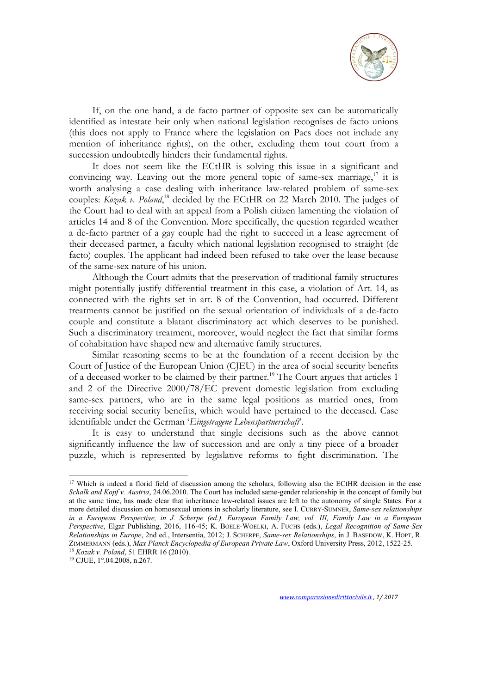

If, on the one hand, a de facto partner of opposite sex can be automatically identified as intestate heir only when national legislation recognises de facto unions (this does not apply to France where the legislation on Pacs does not include any mention of inheritance rights), on the other, excluding them tout court from a succession undoubtedly hinders their fundamental rights.

It does not seem like the ECtHR is solving this issue in a significant and convincing way. Leaving out the more general topic of same-sex marriage,<sup>17</sup> it is worth analysing a case dealing with inheritance law-related problem of same-sex couples: *Kozak v. Poland*, <sup>18</sup> decided by the ECtHR on 22 March 2010. The judges of the Court had to deal with an appeal from a Polish citizen lamenting the violation of articles 14 and 8 of the Convention. More specifically, the question regarded weather a de-facto partner of a gay couple had the right to succeed in a lease agreement of their deceased partner, a faculty which national legislation recognised to straight (de facto) couples. The applicant had indeed been refused to take over the lease because of the same-sex nature of his union.

Although the Court admits that the preservation of traditional family structures might potentially justify differential treatment in this case, a violation of Art. 14, as connected with the rights set in art. 8 of the Convention, had occurred. Different treatments cannot be justified on the sexual orientation of individuals of a de-facto couple and constitute a blatant discriminatory act which deserves to be punished. Such a discriminatory treatment, moreover, would neglect the fact that similar forms of cohabitation have shaped new and alternative family structures.

Similar reasoning seems to be at the foundation of a recent decision by the Court of Justice of the European Union (CJEU) in the area of social security benefits of a deceased worker to be claimed by their partner.<sup>19</sup> The Court argues that articles 1 and 2 of the Directive 2000/78/EC prevent domestic legislation from excluding same-sex partners, who are in the same legal positions as married ones, from receiving social security benefits, which would have pertained to the deceased. Case identifiable under the German '*Eingetragene Lebenspartnerschaft*'.

It is easy to understand that single decisions such as the above cannot significantly influence the law of succession and are only a tiny piece of a broader puzzle, which is represented by legislative reforms to fight discrimination. The

<sup>&</sup>lt;sup>17</sup> Which is indeed a florid field of discussion among the scholars, following also the ECtHR decision in the case *Schalk and Kopf v. Austria*, 24.06.2010. The Court has included same-gender relationship in the concept of family but at the same time, has made clear that inheritance law-related issues are left to the autonomy of single States. For a more detailed discussion on homosexual unions in scholarly literature, see I. CURRY-SUMNER, *Same-sex relationships in a European Perspective, in J. Scherpe (ed.), European Family Law, vol. III, Family Law in a European Perspective*, Elgar Publishing, 2016, 116-45; K. BOELE-WOELKI, A. FUCHS (eds.), *Legal Recognition of Same-Sex Relationships in Europe*, 2nd ed., Intersentia, 2012; J. SCHERPE, *Same-sex Relationships*, in J. BASEDOW, K. HOPT, R. ZIMMERMANN (eds.), *Max Planck Encyclopedia of European Private Law*, Oxford University Press, 2012, 1522-25. <sup>18</sup> *Kozak v. Poland*, 51 EHRR 16 (2010).

<sup>19</sup> CJUE, 1°.04.2008, n.267.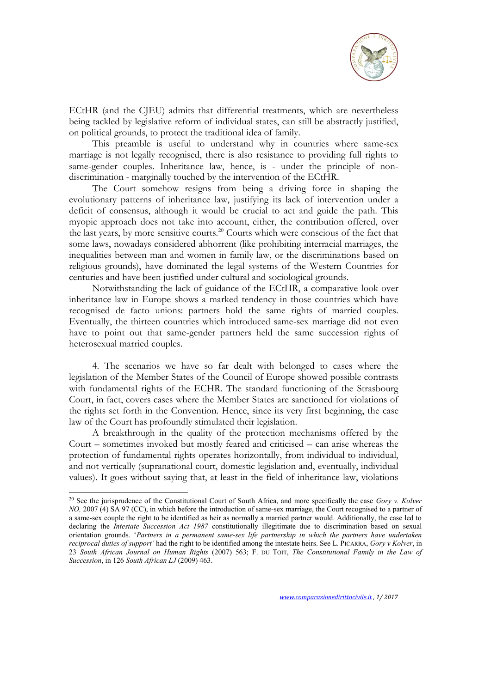

ECtHR (and the CJEU) admits that differential treatments, which are nevertheless being tackled by legislative reform of individual states, can still be abstractly justified, on political grounds, to protect the traditional idea of family.

This preamble is useful to understand why in countries where same-sex marriage is not legally recognised, there is also resistance to providing full rights to same-gender couples. Inheritance law, hence, is - under the principle of nondiscrimination - marginally touched by the intervention of the ECtHR.

The Court somehow resigns from being a driving force in shaping the evolutionary patterns of inheritance law, justifying its lack of intervention under a deficit of consensus, although it would be crucial to act and guide the path. This myopic approach does not take into account, either, the contribution offered, over the last years, by more sensitive courts.<sup>20</sup> Courts which were conscious of the fact that some laws, nowadays considered abhorrent (like prohibiting interracial marriages, the inequalities between man and women in family law, or the discriminations based on religious grounds), have dominated the legal systems of the Western Countries for centuries and have been justified under cultural and sociological grounds.

Notwithstanding the lack of guidance of the ECtHR, a comparative look over inheritance law in Europe shows a marked tendency in those countries which have recognised de facto unions: partners hold the same rights of married couples. Eventually, the thirteen countries which introduced same-sex marriage did not even have to point out that same-gender partners held the same succession rights of heterosexual married couples.

4. The scenarios we have so far dealt with belonged to cases where the legislation of the Member States of the Council of Europe showed possible contrasts with fundamental rights of the ECHR. The standard functioning of the Strasbourg Court, in fact, covers cases where the Member States are sanctioned for violations of the rights set forth in the Convention. Hence, since its very first beginning, the case law of the Court has profoundly stimulated their legislation.

A breakthrough in the quality of the protection mechanisms offered by the Court – sometimes invoked but mostly feared and criticised – can arise whereas the protection of fundamental rights operates horizontally, from individual to individual, and not vertically (supranational court, domestic legislation and, eventually, individual values). It goes without saying that, at least in the field of inheritance law, violations

<sup>20</sup> See the jurisprudence of the Constitutional Court of South Africa, and more specifically the case *Gory v. Kolver NO*, 2007 (4) SA 97 (CC), in which before the introduction of same-sex marriage, the Court recognised to a partner of a same-sex couple the right to be identified as heir as normally a married partner would. Additionally, the case led to declaring the *Intestate Succession Act 1987* constitutionally illegitimate due to discrimination based on sexual orientation grounds. '*Partners in a permanent same-sex life partnership in which the partners have undertaken reciprocal duties of support'* had the right to be identified among the intestate heirs. See L. PICARRA, *Gory v Kolver*, in 23 *South African Journal on Human Rights* (2007) 563; F. DU TOIT, *The Constitutional Family in the Law of Succession*, in 126 *South African LJ* (2009) 463.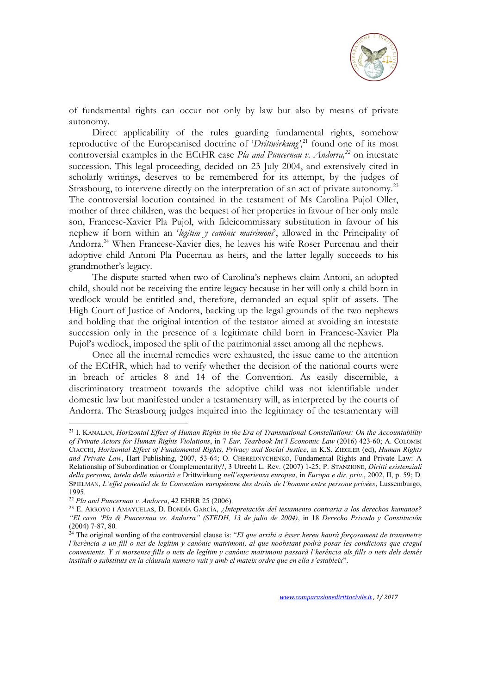

of fundamental rights can occur not only by law but also by means of private autonomy.

Direct applicability of the rules guarding fundamental rights, somehow reproductive of the Europeanised doctrine of '*Drittwirkung*',<sup>21</sup> found one of its most controversial examples in the ECtHR case *Pla and Puncernau v. Andorra,<sup>22</sup>* on intestate succession. This legal proceeding, decided on 23 July 2004, and extensively cited in scholarly writings, deserves to be remembered for its attempt, by the judges of Strasbourg, to intervene directly on the interpretation of an act of private autonomy.<sup>23</sup> The controversial locution contained in the testament of Ms Carolina Pujol Oller, mother of three children, was the bequest of her properties in favour of her only male son, Francesc-Xavier Pla Pujol, with fideicommissary substitution in favour of his nephew if born within an '*legítim y canònic matrimoni*', allowed in the Principality of Andorra.<sup>24</sup> When Francesc-Xavier dies, he leaves his wife Roser Purcenau and their adoptive child Antoni Pla Pucernau as heirs, and the latter legally succeeds to his grandmother's legacy.

The dispute started when two of Carolina's nephews claim Antoni, an adopted child, should not be receiving the entire legacy because in her will only a child born in wedlock would be entitled and, therefore, demanded an equal split of assets. The High Court of Justice of Andorra, backing up the legal grounds of the two nephews and holding that the original intention of the testator aimed at avoiding an intestate succession only in the presence of a legitimate child born in Francesc-Xavier Pla Pujol's wedlock, imposed the split of the patrimonial asset among all the nephews.

Once all the internal remedies were exhausted, the issue came to the attention of the ECtHR, which had to verify whether the decision of the national courts were in breach of articles 8 and 14 of the Convention. As easily discernible, a discriminatory treatment towards the adoptive child was not identifiable under domestic law but manifested under a testamentary will, as interpreted by the courts of Andorra. The Strasbourg judges inquired into the legitimacy of the testamentary will

<sup>21</sup> I. KANALAN, *Horizontal Effect of Human Rights in the Era of Transnational Constellations: On the Accountability of Private Actors for Human Rights Violations*, in 7 *Eur. Yearbook Int'l Economic Law* (2016) 423-60; A. COLOMBI CIACCHI, *Horizontal Effect of Fundamental Rights, Privacy and Social Justice*, in K.S. ZIEGLER (ed), *Human Rights and Private Law*, Hart Publishing, 2007, 53-64; O. CHEREDNYCHENKO, Fundamental Rights and Private Law: A Relationship of Subordination or Complementarity?, 3 Utrecht L. Rev. (2007) 1-25; P. STANZIONE, *Diritti esistenziali della persona, tutela delle minorità e* Drittwirkung *nell'esperienza europea*, in *Europa e dir. priv.*, 2002, II, p. 59; D. SPIELMAN, *L'effet potentiel de la Convention européenne des droits de l'homme entre persone privèes*, Lussemburgo, 1995.

<sup>22</sup> *Pla and Puncernau v. Andorra*, 42 EHRR 25 (2006).

<sup>23</sup> E. ARROYO I AMAYUELAS, D. BONDÍA GARCÍA, *¿Intepretación del testamento contraria a los derechos humanos? "El caso 'Pla & Puncernau vs. Andorra" (STEDH, 13 de julio de 2004)*, in 18 *Derecho Privado y Constitución* (2004) 7-87, 80*.*

<sup>24</sup> The original wording of the controversial clause is: "*El que arribi a ésser hereu haurà forçosament de transmetre l'herència a un fill o net de legítim y canònic matrimoni, al que noobstant podrà posar les condicions que cregui convenients. Y si morsense fills o nets de legítim y canònic matrimoni passarà l'herència als fills o nets dels demés instituït o substituts en la clàusula numero vuit y amb el mateix ordre que en ella s'estableix*".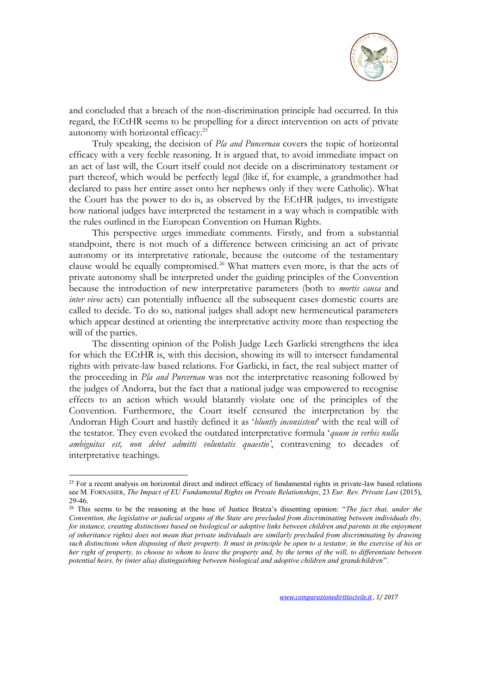

and concluded that a breach of the non-discrimination principle had occurred. In this regard, the ECtHR seems to be propelling for a direct intervention on acts of private autonomy with horizontal efficacy.<sup>25</sup>

Truly speaking, the decision of *Pla and Puncernau* covers the topic of horizontal efficacy with a very feeble reasoning. It is argued that, to avoid immediate impact on an act of last will, the Court itself could not decide on a discriminatory testament or part thereof, which would be perfectly legal (like if, for example, a grandmother had declared to pass her entire asset onto her nephews only if they were Catholic). What the Court has the power to do is, as observed by the ECtHR judges, to investigate how national judges have interpreted the testament in a way which is compatible with the rules outlined in the European Convention on Human Rights.

This perspective urges immediate comments. Firstly, and from a substantial standpoint, there is not much of a difference between criticising an act of private autonomy or its interpretative rationale, because the outcome of the testamentary clause would be equally compromised.<sup>26</sup> What matters even more, is that the acts of private autonomy shall be interpreted under the guiding principles of the Convention because the introduction of new interpretative parameters (both to *mortis causa* and *inter vivos* acts) can potentially influence all the subsequent cases domestic courts are called to decide. To do so, national judges shall adopt new hermeneutical parameters which appear destined at orienting the interpretative activity more than respecting the will of the parties.

The dissenting opinion of the Polish Judge Lech Garlicki strengthens the idea for which the ECtHR is, with this decision, showing its will to intersect fundamental rights with private-law based relations. For Garlicki, in fact, the real subject matter of the proceeding in *Pla and Purcernau* was not the interpretative reasoning followed by the judges of Andorra, but the fact that a national judge was empowered to recognise effects to an action which would blatantly violate one of the principles of the Convention. Furthermore, the Court itself censured the interpretation by the Andorran High Court and hastily defined it as '*bluntly inconsistent*' with the real will of the testator. They even evoked the outdated interpretative formula '*quum in verbis nulla ambiguitas est, non debet admitti voluntatis quaestio'*, contravening to decades of interpretative teachings.

<sup>&</sup>lt;sup>25</sup> For a recent analysis on horizontal direct and indirect efficacy of fundamental rights in private-law based relations see M. FORNASIER, *The Impact of EU Fundamental Rights on Private Relationships*, 23 *Eur. Rev. Private Law* (2015), 29-46.

<sup>26</sup> This seems to be the reasoning at the base of Justice Bratza's dissenting opinion: "*The fact that, under the Convention, the legislative or judicial organs of the State are precluded from discriminating between individuals (by, for instance, creating distinctions based on biological or adoptive links between children and parents in the enjoyment of inheritance rights) does not mean that private individuals are similarly precluded from discriminating by drawing such distinctions when disposing of their property. It must in principle be open to a testator, in the exercise of his or her right of property, to choose to whom to leave the property and, by the terms of the will, to differentiate between potential heirs, by (inter alia) distinguishing between biological and adoptive children and grandchildren*".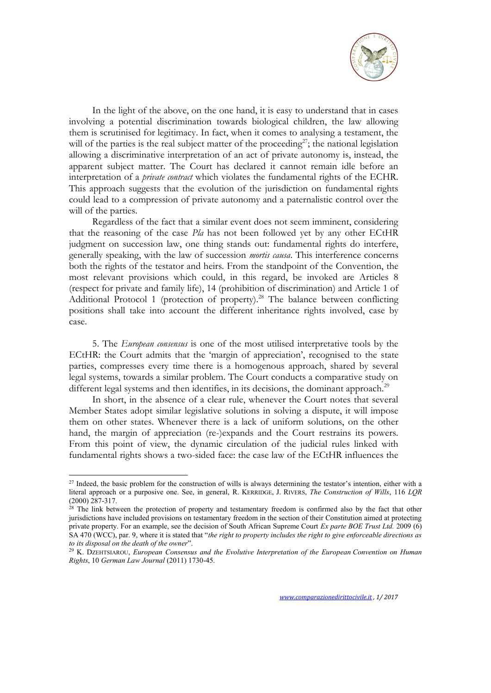

In the light of the above, on the one hand, it is easy to understand that in cases involving a potential discrimination towards biological children, the law allowing them is scrutinised for legitimacy. In fact, when it comes to analysing a testament, the will of the parties is the real subject matter of the proceeding<sup>27</sup>; the national legislation allowing a discriminative interpretation of an act of private autonomy is, instead, the apparent subject matter. The Court has declared it cannot remain idle before an interpretation of a *private contract* which violates the fundamental rights of the ECHR. This approach suggests that the evolution of the jurisdiction on fundamental rights could lead to a compression of private autonomy and a paternalistic control over the will of the parties.

Regardless of the fact that a similar event does not seem imminent, considering that the reasoning of the case *Pla* has not been followed yet by any other ECtHR judgment on succession law, one thing stands out: fundamental rights do interfere, generally speaking, with the law of succession *mortis causa*. This interference concerns both the rights of the testator and heirs. From the standpoint of the Convention, the most relevant provisions which could, in this regard, be invoked are Articles 8 (respect for private and family life), 14 (prohibition of discrimination) and Article 1 of Additional Protocol 1 (protection of property).<sup>28</sup> The balance between conflicting positions shall take into account the different inheritance rights involved, case by case.

5. The *European consensus* is one of the most utilised interpretative tools by the ECtHR: the Court admits that the 'margin of appreciation', recognised to the state parties, compresses every time there is a homogenous approach, shared by several legal systems, towards a similar problem. The Court conducts a comparative study on different legal systems and then identifies, in its decisions, the dominant approach.<sup>29</sup>

In short, in the absence of a clear rule, whenever the Court notes that several Member States adopt similar legislative solutions in solving a dispute, it will impose them on other states. Whenever there is a lack of uniform solutions, on the other hand, the margin of appreciation (re-)expands and the Court restrains its powers. From this point of view, the dynamic circulation of the judicial rules linked with fundamental rights shows a two-sided face: the case law of the ECtHR influences the

<sup>&</sup>lt;sup>27</sup> Indeed, the basic problem for the construction of wills is always determining the testator's intention, either with a literal approach or a purposive one. See, in general, R. KERRIDGE, J. RIVERS, *The Construction of Wills*, 116 *LQR* (2000) 287-317.

<sup>&</sup>lt;sup>28</sup> The link between the protection of property and testamentary freedom is confirmed also by the fact that other jurisdictions have included provisions on testamentary freedom in the section of their Constitution aimed at protecting private property. For an example, see the decision of South African Supreme Court *Ex parte BOE Trust Ltd.* 2009 (6) SA 470 (WCC), par. 9, where it is stated that "*the right to property includes the right to give enforceable directions as to its disposal on the death of the owner*".

<sup>29</sup> K. DZEHTSIAROU, *European Consensus and the Evolutive Interpretation of the European Convention on Human Rights*, 10 *German Law Journal* (2011) 1730-45.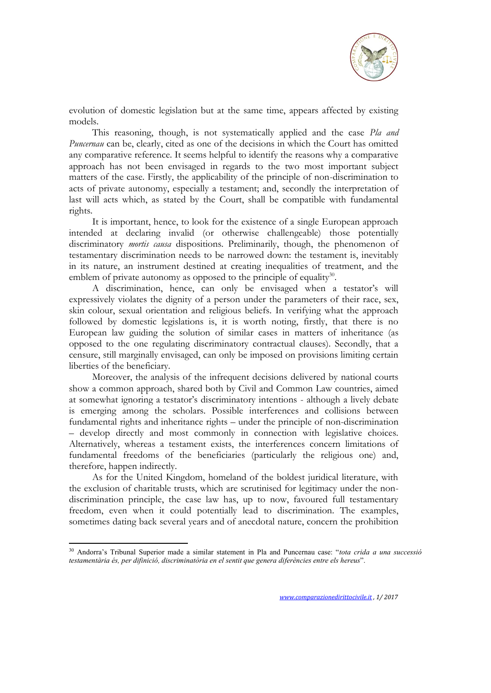

evolution of domestic legislation but at the same time, appears affected by existing models.

This reasoning, though, is not systematically applied and the case *Pla and Puncernau* can be, clearly, cited as one of the decisions in which the Court has omitted any comparative reference. It seems helpful to identify the reasons why a comparative approach has not been envisaged in regards to the two most important subject matters of the case. Firstly, the applicability of the principle of non-discrimination to acts of private autonomy, especially a testament; and, secondly the interpretation of last will acts which, as stated by the Court, shall be compatible with fundamental rights.

It is important, hence, to look for the existence of a single European approach intended at declaring invalid (or otherwise challengeable) those potentially discriminatory *mortis causa* dispositions. Preliminarily, though, the phenomenon of testamentary discrimination needs to be narrowed down: the testament is, inevitably in its nature, an instrument destined at creating inequalities of treatment, and the emblem of private autonomy as opposed to the principle of equality $30$ .

A discrimination, hence, can only be envisaged when a testator's will expressively violates the dignity of a person under the parameters of their race, sex, skin colour, sexual orientation and religious beliefs. In verifying what the approach followed by domestic legislations is, it is worth noting, firstly, that there is no European law guiding the solution of similar cases in matters of inheritance (as opposed to the one regulating discriminatory contractual clauses). Secondly, that a censure, still marginally envisaged, can only be imposed on provisions limiting certain liberties of the beneficiary.

Moreover, the analysis of the infrequent decisions delivered by national courts show a common approach, shared both by Civil and Common Law countries, aimed at somewhat ignoring a testator's discriminatory intentions - although a lively debate is emerging among the scholars. Possible interferences and collisions between fundamental rights and inheritance rights – under the principle of non-discrimination – develop directly and most commonly in connection with legislative choices. Alternatively, whereas a testament exists, the interferences concern limitations of fundamental freedoms of the beneficiaries (particularly the religious one) and, therefore, happen indirectly.

As for the United Kingdom, homeland of the boldest juridical literature, with the exclusion of charitable trusts, which are scrutinised for legitimacy under the nondiscrimination principle, the case law has, up to now, favoured full testamentary freedom, even when it could potentially lead to discrimination. The examples, sometimes dating back several years and of anecdotal nature, concern the prohibition

<sup>30</sup> Andorra's Tribunal Superior made a similar statement in Pla and Puncernau case: "*tota crida a una successió testamentària és, per difinició, discriminatòria en el sentit que genera diferències entre els hereus*".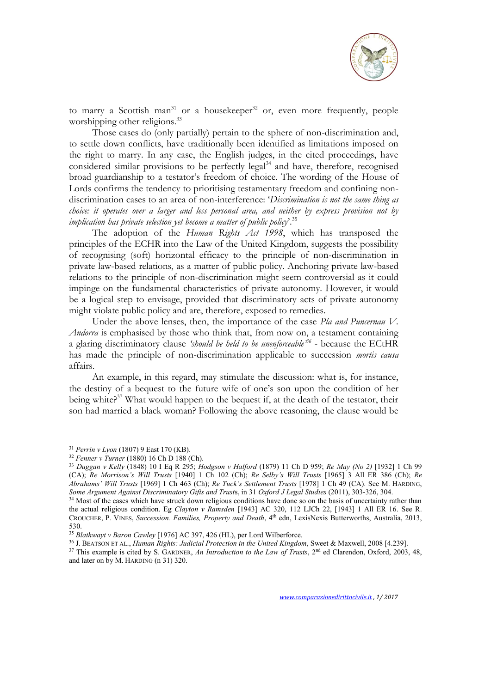

to marry a Scottish man<sup>31</sup> or a housekeeper<sup>32</sup> or, even more frequently, people worshipping other religions.<sup>33</sup>

Those cases do (only partially) pertain to the sphere of non-discrimination and, to settle down conflicts, have traditionally been identified as limitations imposed on the right to marry. In any case, the English judges, in the cited proceedings, have considered similar provisions to be perfectly legal<sup>34</sup> and have, therefore, recognised broad guardianship to a testator's freedom of choice. The wording of the House of Lords confirms the tendency to prioritising testamentary freedom and confining nondiscrimination cases to an area of non-interference: '*Discrimination is not the same thing as choice: it operates over a larger and less personal area, and neither by express provision not by implication has private selection yet become a matter of public policy*'.<sup>35</sup>

The adoption of the *Human Rights Act 1998*, which has transposed the principles of the ECHR into the Law of the United Kingdom, suggests the possibility of recognising (soft) horizontal efficacy to the principle of non-discrimination in private law-based relations, as a matter of public policy. Anchoring private law-based relations to the principle of non-discrimination might seem controversial as it could impinge on the fundamental characteristics of private autonomy. However, it would be a logical step to envisage, provided that discriminatory acts of private autonomy might violate public policy and are, therefore, exposed to remedies.

Under the above lenses, then, the importance of the case *Pla and Puncernau V. Andorra* is emphasised by those who think that, from now on, a testament containing a glaring discriminatory clause *'should be held to be unenforceable'<sup>36</sup>* - because the ECtHR has made the principle of non-discrimination applicable to succession *mortis causa* affairs.

An example, in this regard, may stimulate the discussion: what is, for instance, the destiny of a bequest to the future wife of one's son upon the condition of her being white?<sup>37</sup> What would happen to the bequest if, at the death of the testator, their son had married a black woman? Following the above reasoning, the clause would be

<sup>31</sup> *Perrin v Lyon* (1807) 9 East 170 (KB).

<sup>32</sup> *Fenner v Turner* (1880) 16 Ch D 188 (Ch).

<sup>33</sup> *Duggan v Kelly* (1848) 10 I Eq R 295; *Hodgson v Halford* (1879) 11 Ch D 959; *Re May (No 2)* [1932] 1 Ch 99 (CA); *Re Morrison's Will Trusts* [1940] 1 Ch 102 (Ch); *Re Selby's Will Trusts* [1965] 3 All ER 386 (Ch); *Re Abrahams' Will Trusts* [1969] 1 Ch 463 (Ch); *Re Tuck's Settlement Trusts* [1978] 1 Ch 49 (CA). See M. HARDING, *Some Argument Against Discriminatory Gifts and Trust*s, in 31 *Oxford J Legal Studies* (2011), 303-326, 304.

<sup>&</sup>lt;sup>34</sup> Most of the cases which have struck down religious conditions have done so on the basis of uncertainty rather than the actual religious condition. Eg *Clayton v Ramsden* [1943] AC 320, 112 LJCh 22, [1943] 1 All ER 16. See R. CROUCHER, P. VINES, *Succession. Families, Property and Death*, 4th edn, LexisNexis Butterworths, Australia, 2013, 530.

<sup>35</sup> *Blathwayt v Baron Cawley* [1976] AC 397, 426 (HL), per Lord Wilberforce.

<sup>36</sup> J. BEATSON ET AL., *Human Rights: Judicial Protection in the United Kingdom*, Sweet & Maxwell, 2008 [4.239].

<sup>&</sup>lt;sup>37</sup> This example is cited by S. GARDNER, *An Introduction to the Law of Trusts*, 2<sup>nd</sup> ed Clarendon, Oxford, 2003, 48, and later on by M. HARDING (n 31) 320.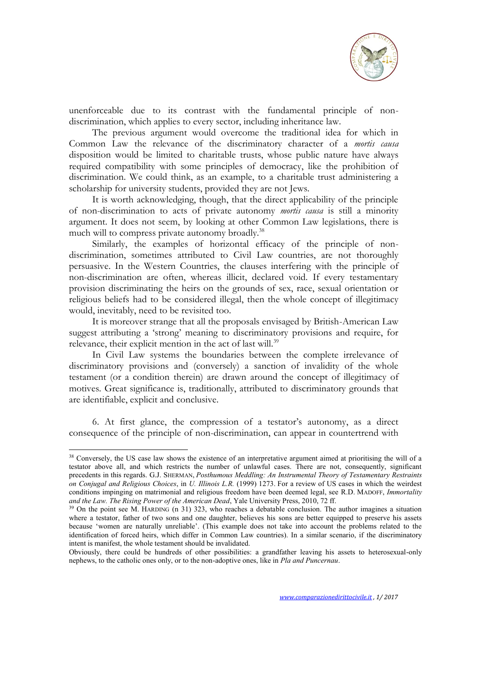

unenforceable due to its contrast with the fundamental principle of nondiscrimination, which applies to every sector, including inheritance law.

The previous argument would overcome the traditional idea for which in Common Law the relevance of the discriminatory character of a *mortis causa* disposition would be limited to charitable trusts, whose public nature have always required compatibility with some principles of democracy, like the prohibition of discrimination. We could think, as an example, to a charitable trust administering a scholarship for university students, provided they are not Jews.

It is worth acknowledging, though, that the direct applicability of the principle of non-discrimination to acts of private autonomy *mortis causa* is still a minority argument. It does not seem, by looking at other Common Law legislations, there is much will to compress private autonomy broadly.<sup>38</sup>

Similarly, the examples of horizontal efficacy of the principle of nondiscrimination, sometimes attributed to Civil Law countries, are not thoroughly persuasive. In the Western Countries, the clauses interfering with the principle of non-discrimination are often, whereas illicit, declared void. If every testamentary provision discriminating the heirs on the grounds of sex, race, sexual orientation or religious beliefs had to be considered illegal, then the whole concept of illegitimacy would, inevitably, need to be revisited too.

It is moreover strange that all the proposals envisaged by British-American Law suggest attributing a 'strong' meaning to discriminatory provisions and require, for relevance, their explicit mention in the act of last will.<sup>39</sup>

In Civil Law systems the boundaries between the complete irrelevance of discriminatory provisions and (conversely) a sanction of invalidity of the whole testament (or a condition therein) are drawn around the concept of illegitimacy of motives. Great significance is, traditionally, attributed to discriminatory grounds that are identifiable, explicit and conclusive.

6. At first glance, the compression of a testator's autonomy, as a direct consequence of the principle of non-discrimination, can appear in countertrend with

<sup>&</sup>lt;sup>38</sup> Conversely, the US case law shows the existence of an interpretative argument aimed at prioritising the will of a testator above all, and which restricts the number of unlawful cases. There are not, consequently, significant precedents in this regards. G.J. SHERMAN, *Posthumous Meddling: An Instrumental Theory of Testamentary Restraints on Conjugal and Religious Choices*, in *U. Illinois L.R.* (1999) 1273. For a review of US cases in which the weirdest conditions impinging on matrimonial and religious freedom have been deemed legal, see R.D. MADOFF, *Immortality and the Law. The Rising Power of the American Dead*, Yale University Press, 2010, 72 ff.

<sup>&</sup>lt;sup>39</sup> On the point see M. HARDING (n 31) 323, who reaches a debatable conclusion. The author imagines a situation where a testator, father of two sons and one daughter, believes his sons are better equipped to preserve his assets because 'women are naturally unreliable'. (This example does not take into account the problems related to the identification of forced heirs, which differ in Common Law countries). In a similar scenario, if the discriminatory intent is manifest, the whole testament should be invalidated.

Obviously, there could be hundreds of other possibilities: a grandfather leaving his assets to heterosexual-only nephews, to the catholic ones only, or to the non-adoptive ones, like in *Pla and Puncernau*.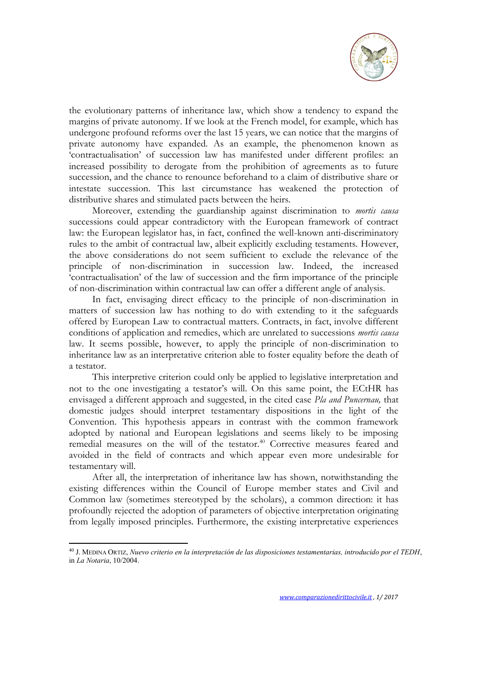

the evolutionary patterns of inheritance law, which show a tendency to expand the margins of private autonomy. If we look at the French model, for example, which has undergone profound reforms over the last 15 years, we can notice that the margins of private autonomy have expanded. As an example, the phenomenon known as 'contractualisation' of succession law has manifested under different profiles: an increased possibility to derogate from the prohibition of agreements as to future succession, and the chance to renounce beforehand to a claim of distributive share or intestate succession. This last circumstance has weakened the protection of distributive shares and stimulated pacts between the heirs.

Moreover, extending the guardianship against discrimination to *mortis causa* successions could appear contradictory with the European framework of contract law: the European legislator has, in fact, confined the well-known anti-discriminatory rules to the ambit of contractual law, albeit explicitly excluding testaments. However, the above considerations do not seem sufficient to exclude the relevance of the principle of non-discrimination in succession law. Indeed, the increased 'contractualisation' of the law of succession and the firm importance of the principle of non-discrimination within contractual law can offer a different angle of analysis.

In fact, envisaging direct efficacy to the principle of non-discrimination in matters of succession law has nothing to do with extending to it the safeguards offered by European Law to contractual matters. Contracts, in fact, involve different conditions of application and remedies, which are unrelated to successions *mortis causa* law. It seems possible, however, to apply the principle of non-discrimination to inheritance law as an interpretative criterion able to foster equality before the death of a testator.

This interpretive criterion could only be applied to legislative interpretation and not to the one investigating a testator's will. On this same point, the ECtHR has envisaged a different approach and suggested, in the cited case *Pla and Puncernau,* that domestic judges should interpret testamentary dispositions in the light of the Convention. This hypothesis appears in contrast with the common framework adopted by national and European legislations and seems likely to be imposing remedial measures on the will of the testator.<sup>40</sup> Corrective measures feared and avoided in the field of contracts and which appear even more undesirable for testamentary will.

After all, the interpretation of inheritance law has shown, notwithstanding the existing differences within the Council of Europe member states and Civil and Common law (sometimes stereotyped by the scholars), a common direction: it has profoundly rejected the adoption of parameters of objective interpretation originating from legally imposed principles. Furthermore, the existing interpretative experiences

<sup>40</sup> J. MEDINA ORTIZ, *Nuevo criterio en la interpretación de las disposiciones testamentarias, introducido por el TEDH*, in *La Notaria*, 10/2004.